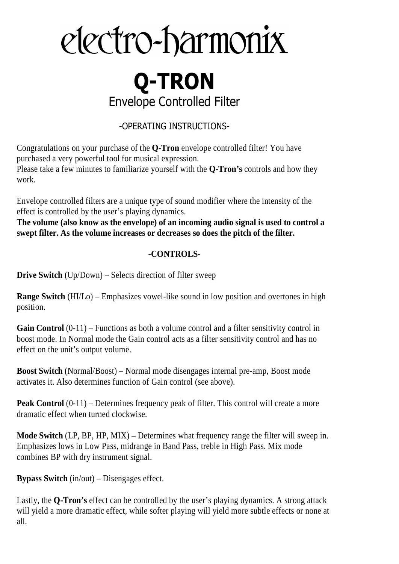# electro-harmonix

# **Q-TRON** Envelope Controlled Filter

# -OPERATING INSTRUCTIONS-

Congratulations on your purchase of the **Q-Tron** envelope controlled filter! You have purchased a very powerful tool for musical expression.

Please take a few minutes to familiarize yourself with the **Q-Tron's** controls and how they work.

Envelope controlled filters are a unique type of sound modifier where the intensity of the effect is controlled by the user's playing dynamics.

**The volume (also know as the envelope) of an incoming audio signal is used to control a swept filter. As the volume increases or decreases so does the pitch of the filter.** 

# **-CONTROLS-**

**Drive Switch** (Up/Down) – Selects direction of filter sweep

**Range Switch** (HI/Lo) – Emphasizes vowel-like sound in low position and overtones in high position.

Gain Control  $(0-11)$  – Functions as both a volume control and a filter sensitivity control in boost mode. In Normal mode the Gain control acts as a filter sensitivity control and has no effect on the unit's output volume.

**Boost Switch** (Normal/Boost) – Normal mode disengages internal pre-amp, Boost mode activates it. Also determines function of Gain control (see above).

**Peak Control** (0-11) – Determines frequency peak of filter. This control will create a more dramatic effect when turned clockwise.

**Mode Switch** (LP, BP, HP, MIX) – Determines what frequency range the filter will sweep in. Emphasizes lows in Low Pass, midrange in Band Pass, treble in High Pass. Mix mode combines BP with dry instrument signal.

**Bypass Switch** (in/out) – Disengages effect.

Lastly, the **Q-Tron's** effect can be controlled by the user's playing dynamics. A strong attack will yield a more dramatic effect, while softer playing will yield more subtle effects or none at all.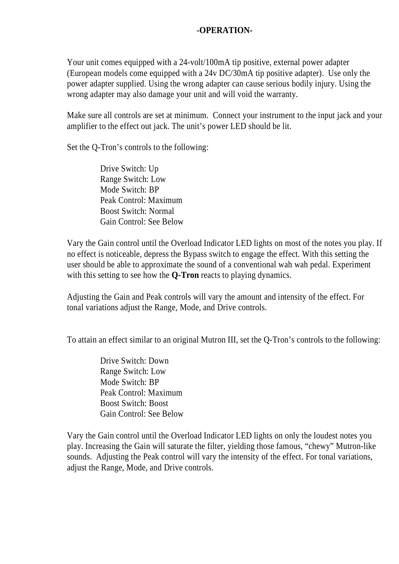### **-OPERATION-**

Your unit comes equipped with a 24-volt/100mA tip positive, external power adapter (European models come equipped with a 24v DC/30mA tip positive adapter). Use only the power adapter supplied. Using the wrong adapter can cause serious bodily injury. Using the wrong adapter may also damage your unit and will void the warranty.

Make sure all controls are set at minimum. Connect your instrument to the input jack and your amplifier to the effect out jack. The unit's power LED should be lit.

Set the Q-Tron's controls to the following:

Drive Switch: Up Range Switch: Low Mode Switch: BP Peak Control: Maximum Boost Switch: Normal Gain Control: See Below

Vary the Gain control until the Overload Indicator LED lights on most of the notes you play. If no effect is noticeable, depress the Bypass switch to engage the effect. With this setting the user should be able to approximate the sound of a conventional wah wah pedal. Experiment with this setting to see how the **Q-Tron** reacts to playing dynamics.

Adjusting the Gain and Peak controls will vary the amount and intensity of the effect. For tonal variations adjust the Range, Mode, and Drive controls.

To attain an effect similar to an original Mutron III, set the Q-Tron's controls to the following:

Drive Switch: Down Range Switch: Low Mode Switch: BP Peak Control: Maximum Boost Switch: Boost Gain Control: See Below

Vary the Gain control until the Overload Indicator LED lights on only the loudest notes you play. Increasing the Gain will saturate the filter, yielding those famous, "chewy" Mutron-like sounds. Adjusting the Peak control will vary the intensity of the effect. For tonal variations, adjust the Range, Mode, and Drive controls.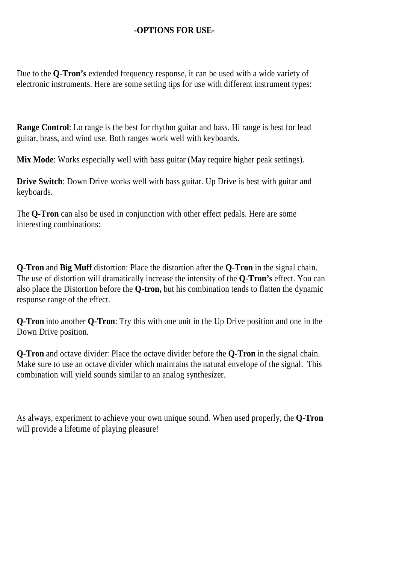## **-OPTIONS FOR USE-**

Due to the **Q-Tron's** extended frequency response, it can be used with a wide variety of electronic instruments. Here are some setting tips for use with different instrument types:

**Range Control**: Lo range is the best for rhythm guitar and bass. Hi range is best for lead guitar, brass, and wind use. Both ranges work well with keyboards.

**Mix Mode**: Works especially well with bass guitar (May require higher peak settings).

**Drive Switch**: Down Drive works well with bass guitar. Up Drive is best with guitar and keyboards.

The **Q-Tron** can also be used in conjunction with other effect pedals. Here are some interesting combinations:

**Q-Tron** and **Big Muff** distortion: Place the distortion after the **Q-Tron** in the signal chain. The use of distortion will dramatically increase the intensity of the **Q-Tron's** effect. You can also place the Distortion before the **Q-tron,** but his combination tends to flatten the dynamic response range of the effect.

**Q-Tron** into another **Q-Tron**: Try this with one unit in the Up Drive position and one in the Down Drive position.

**Q-Tron** and octave divider: Place the octave divider before the **Q-Tron** in the signal chain. Make sure to use an octave divider which maintains the natural envelope of the signal. This combination will yield sounds similar to an analog synthesizer.

As always, experiment to achieve your own unique sound. When used properly, the **Q-Tron** will provide a lifetime of playing pleasure!